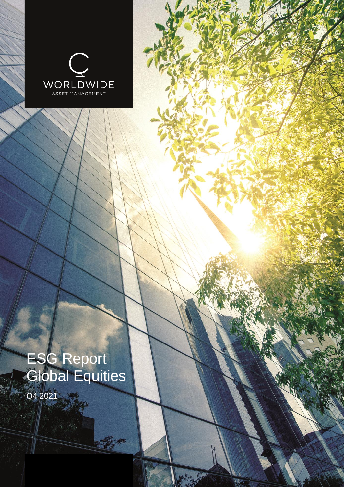

# ESG Report Global Equities

REA

Q4 2021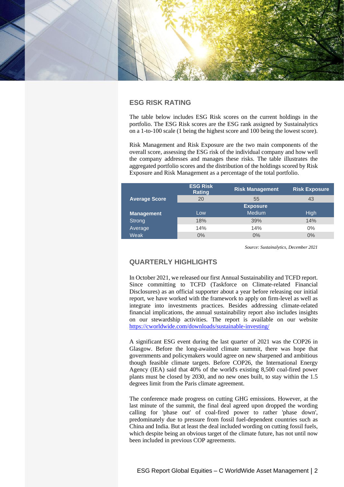

# **ESG RISK RATING**

The table below includes ESG Risk scores on the current holdings in the portfolio. The ESG Risk scores are the ESG rank assigned by Sustainalytics on a 1-to-100 scale (1 being the highest score and 100 being the lowest score).

Risk Management and Risk Exposure are the two main components of the overall score, assessing the ESG risk of the individual company and how well the company addresses and manages these risks. The table illustrates the aggregated portfolio scores and the distribution of the holdings scored by Risk Exposure and Risk Management as a percentage of the total portfolio.

|                      | <b>ESG Risk</b><br><b>Rating</b> | <b>Risk Management</b> | <b>Risk Exposure</b> |  |
|----------------------|----------------------------------|------------------------|----------------------|--|
| <b>Average Score</b> | 20                               | 55                     | 43                   |  |
|                      |                                  | <b>Exposure</b>        |                      |  |
| <b>Management</b>    | Low                              | <b>Medium</b>          | <b>High</b>          |  |
| Strong               | 18%                              | 39%                    | 14%                  |  |
| Average              | 14%                              | 14%                    | $0\%$                |  |
| Weak                 | $0\%$                            | 0%                     | 0%                   |  |

*Source: Sustainalytics, December 2021*

# **QUARTERLY HIGHLIGHTS**

In October 2021, we released our first Annual Sustainability and TCFD report. Since committing to TCFD (Taskforce on Climate-related Financial Disclosures) as an official supporter about a year before releasing our initial report, we have worked with the framework to apply on firm-level as well as integrate into investments practices. Besides addressing climate-related financial implications, the annual sustainability report also includes insights on our stewardship activities. The report is available on our website <https://cworldwide.com/downloads/sustainable-investing/>

A significant ESG event during the last quarter of 2021 was the COP26 in Glasgow. Before the long-awaited climate summit, there was hope that governments and policymakers would agree on new sharpened and ambitious though feasible climate targets. Before COP26, the International Energy Agency (IEA) said that 40% of the world's existing 8,500 coal-fired power plants must be closed by 2030, and no new ones built, to stay within the 1.5 degrees limit from the Paris climate agreement.

The conference made progress on cutting GHG emissions. However, at the last minute of the summit, the final deal agreed upon dropped the wording calling for 'phase out' of coal-fired power to rather 'phase down', predominately due to pressure from fossil fuel-dependent countries such as China and India. But at least the deal included wording on cutting fossil fuels, which despite being an obvious target of the climate future, has not until now been included in previous COP agreements.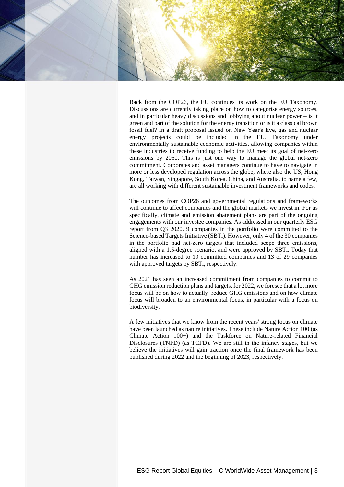

Back from the COP26, the EU continues its work on the EU Taxonomy. Discussions are currently taking place on how to categorise energy sources, and in particular heavy discussions and lobbying about nuclear power – is it green and part of the solution for the energy transition or is it a classical brown fossil fuel? In a draft proposal issued on New Year's Eve, gas and nuclear energy projects could be included in the EU. Taxonomy under environmentally sustainable economic activities, allowing companies within these industries to receive funding to help the EU meet its goal of net-zero emissions by 2050. This is just one way to manage the global net-zero commitment. Corporates and asset managers continue to have to navigate in more or less developed regulation across the globe, where also the US, Hong Kong, Taiwan, Singapore, South Korea, China, and Australia, to name a few, are all working with different sustainable investment frameworks and codes.

The outcomes from COP26 and governmental regulations and frameworks will continue to affect companies and the global markets we invest in. For us specifically, climate and emission abatement plans are part of the ongoing engagements with our investee companies. As addressed in our quarterly ESG report from Q3 2020, 9 companies in the portfolio were committed to the Science-based Targets Initiative (SBTi). However, only 4 of the 30 companies in the portfolio had net-zero targets that included scope three emissions, aligned with a 1.5-degree scenario, and were approved by SBTi. Today that number has increased to 19 committed companies and 13 of 29 companies with approved targets by SBTi, respectively.

As 2021 has seen an increased commitment from companies to commit to GHG emission reduction plans and targets, for 2022, we foresee that a lot more focus will be on how to actually reduce GHG emissions and on how climate focus will broaden to an environmental focus, in particular with a focus on biodiversity.

A few initiatives that we know from the recent years' strong focus on climate have been launched as nature initiatives. These include Nature Action 100 (as Climate Action 100+) and the Taskforce on Nature-related Financial Disclosures (TNFD) (as TCFD). We are still in the infancy stages, but we believe the initiatives will gain traction once the final framework has been published during 2022 and the beginning of 2023, respectively.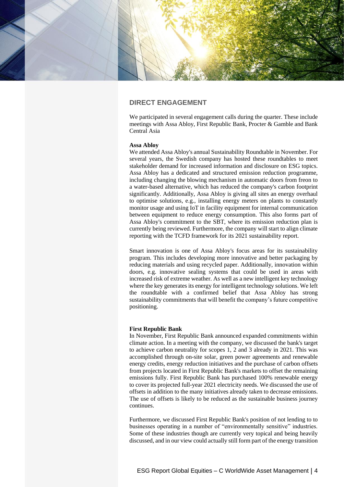

# **DIRECT ENGAGEMENT**

We participated in several engagement calls during the quarter. These include meetings with Assa Abloy, First Republic Bank, Procter & Gamble and Bank Central Asia

## **Assa Abloy**

We attended Assa Abloy's annual Sustainability Roundtable in November. For several years, the Swedish company has hosted these roundtables to meet stakeholder demand for increased information and disclosure on ESG topics. Assa Abloy has a dedicated and structured emission reduction programme, including changing the blowing mechanism in automatic doors from freon to a water-based alternative, which has reduced the company's carbon footprint significantly. Additionally, Assa Abloy is giving all sites an energy overhaul to optimise solutions, e.g., installing energy meters on plants to constantly monitor usage and using IoT in facility equipment for internal communication between equipment to reduce energy consumption. This also forms part of Assa Abloy's commitment to the SBT, where its emission reduction plan is currently being reviewed. Furthermore, the company will start to align climate reporting with the TCFD framework for its 2021 sustainability report.

Smart innovation is one of Assa Abloy's focus areas for its sustainability program. This includes developing more innovative and better packaging by reducing materials and using recycled paper. Additionally, innovation within doors, e.g. innovative sealing systems that could be used in areas with increased risk of extreme weather. As well as a new intelligent key technology where the key generates its energy for intelligent technology solutions. We left the roundtable with a confirmed belief that Assa Abloy has strong sustainability commitments that will benefit the company's future competitive positioning.

## **First Republic Bank**

In November, First Republic Bank announced expanded commitments within climate action. In a meeting with the company, we discussed the bank's target to achieve carbon neutrality for scopes 1, 2 and 3 already in 2021. This was accomplished through on-site solar, green power agreements and renewable energy credits, energy reduction initiatives and the purchase of carbon offsets from projects located in First Republic Bank's markets to offset the remaining emissions fully. First Republic Bank has purchased 100% renewable energy to cover its projected full-year 2021 electricity needs. We discussed the use of offsets in addition to the many initiatives already taken to decrease emissions. The use of offsets is likely to be reduced as the sustainable business journey continues.

Furthermore, we discussed First Republic Bank's position of not lending to to businesses operating in a number of "environmentally sensitive" industries. Some of these industries though are currently very topical and being heavily discussed, and in our view could actually still form part of the energy transition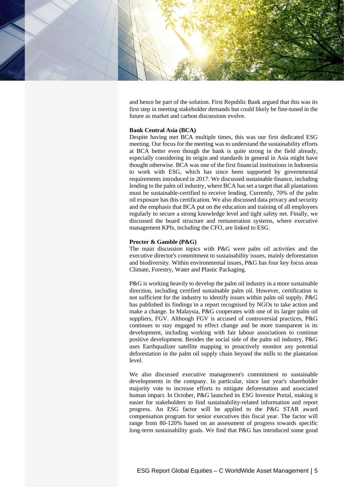

and hence be part of the solution. First Republic Bank argued that this was its first step in meeting stakeholder demands but could likely be fine-tuned in the future as market and carbon discussions evolve.

#### **Bank Central Asia (BCA)**

Despite having met BCA multiple times, this was our first dedicated ESG meeting. Our focus for the meeting was to understand the sustainability efforts at BCA better even though the bank is quite strong in the field already, especially considering its origin and standards in general in Asia might have thought otherwise. BCA was one of the first financial institutions in Indonesia to work with ESG, which has since been supported by governmental requirements introduced in 2017. We discussed sustainable finance, including lending to the palm oil industry, where BCA has set a target that all plantations must be sustainable-certified to receive lending. Currently, 70% of the palm oil exposure has this certification. We also discussed data privacy and security and the emphasis that BCA put on the education and training of all employees regularly to secure a strong knowledge level and tight safety net. Finally, we discussed the board structure and remuneration systems, where executive management KPIs, including the CFO, are linked to ESG.

#### **Procter & Gamble (P&G)**

The main discussion topics with P&G were palm oil activities and the executive director's commitment to sustainability issues, mainly deforestation and biodiversity. Within environmental issues, P&G has four key focus areas Climate, Forestry, Water and Plastic Packaging.

P&G is working heavily to develop the palm oil industry in a more sustainable direction, including certified sustainable palm oil. However, certification is not sufficient for the industry to identify issues within palm oil supply. P&G has published its findings in a report recognised by NGOs to take action and make a change. In Malaysia, P&G cooperates with one of its larger palm oil suppliers, FGV. Although FGV is accused of controversial practices, P&G continues to stay engaged to effect change and be more transparent in its development, including working with fair labour associations to continue positive development. Besides the social side of the palm oil industry, P&G uses Earthqualizer satellite mapping to proactively monitor any potential deforestation in the palm oil supply chain beyond the mills to the plantation level.

We also discussed executive management's commitment to sustainable developments in the company. In particular, since last year's shareholder majority vote to increase efforts to mitigate deforestation and associated human impact. In October, P&G launched its ESG Investor Portal, making it easier for stakeholders to find sustainability-related information and report progress. An ESG factor will be applied to the P&G STAR award compensation program for senior executives this fiscal year. The factor will range from 80-120% based on an assessment of progress towards specific long-term sustainability goals. We find that P&G has introduced some good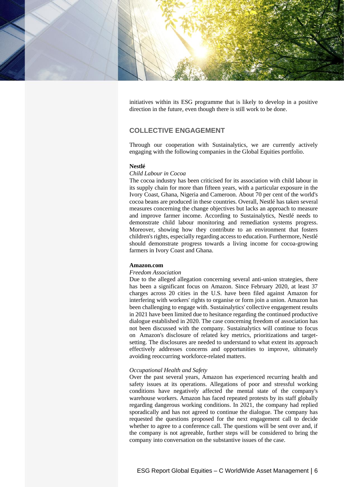

initiatives within its ESG programme that is likely to develop in a positive direction in the future, even though there is still work to be done.

# **COLLECTIVE ENGAGEMENT**

Through our cooperation with Sustainalytics, we are currently actively engaging with the following companies in the Global Equities portfolio.

### **Nestlé**

## *Child Labour in Cocoa*

The cocoa industry has been criticised for its association with child labour in its supply chain for more than fifteen years, with a particular exposure in the Ivory Coast, Ghana, Nigeria and Cameroon. About 70 per cent of the world's cocoa beans are produced in these countries. Overall, Nestlé has taken several measures concerning the change objectives but lacks an approach to measure and improve farmer income. According to Sustainalytics, Nestlé needs to demonstrate child labour monitoring and remediation systems progress. Moreover, showing how they contribute to an environment that fosters children's rights, especially regarding access to education. Furthermore, Nestlé should demonstrate progress towards a living income for cocoa-growing farmers in Ivory Coast and Ghana.

#### **Amazon.com**

#### *Freedom Association*

Due to the alleged allegation concerning several anti-union strategies, there has been a significant focus on Amazon. Since February 2020, at least 37 charges across 20 cities in the U.S. have been filed against Amazon for interfering with workers' rights to organise or form join a union. Amazon has been challenging to engage with. Sustainalytics' collective engagement results in 2021 have been limited due to hesitance regarding the continued productive dialogue established in 2020. The case concerning freedom of association has not been discussed with the company. Sustainalytics will continue to focus on Amazon's disclosure of related key metrics, prioritizations and targetsetting. The disclosures are needed to understand to what extent its approach effectively addresses concerns and opportunities to improve, ultimately avoiding reoccurring workforce-related matters.

#### *Occupational Health and Safety*

Over the past several years, Amazon has experienced recurring health and safety issues at its operations. Allegations of poor and stressful working conditions have negatively affected the mental state of the company's warehouse workers. Amazon has faced repeated protests by its staff globally regarding dangerous working conditions. In 2021, the company had replied sporadically and has not agreed to continue the dialogue. The company has requested the questions proposed for the next engagement call to decide whether to agree to a conference call. The questions will be sent over and, if the company is not agreeable, further steps will be considered to bring the company into conversation on the substantive issues of the case.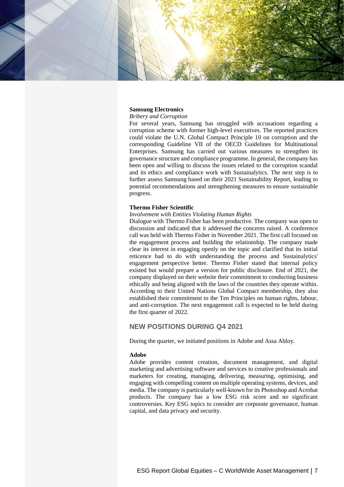

## **Samsung Electronics**

#### *Bribery and Corruption*

For several years, Samsung has struggled with accusations regarding a corruption scheme with former high-level executives. The reported practices could violate the U.N. Global Compact Principle 10 on corruption and the corresponding Guideline VII of the OECD Guidelines for Multinational Enterprises. Samsung has carried out various measures to strengthen its governance structure and compliance programme. In general, the company has been open and willing to discuss the issues related to the corruption scandal and its ethics and compliance work with Sustainalytics. The next step is to further assess Samsung based on their 2021 Sustainability Report, leading to potential recommendations and strengthening measures to ensure sustainable progress.

#### **Thermo Fisher Scientific**

#### *Involvement with Entities Violating Human Rights*

Dialogue with Thermo Fisher has been productive. The company was open to discussion and indicated that it addressed the concerns raised. A conference call was held with Thermo Fisher in November 2021. The first call focused on the engagement process and building the relationship. The company made clear its interest in engaging openly on the topic and clarified that its initial reticence had to do with understanding the process and Sustainalytics' engagement perspective better. Thermo Fisher stated that internal policy existed but would prepare a version for public disclosure. End of 2021, the company displayed on their website their commitment to conducting business ethically and being aligned with the laws of the countries they operate within. According to their United Nations Global Compact membership, they also established their commitment to the Ten Principles on human rights, labour, and anti-corruption. The next engagement call is expected to be held during the first quarter of 2022.

## **NEW POSITIONS DURING Q4 2021**

During the quarter, we initiated positions in Adobe and Assa Abloy.

#### **Adobe**

Adobe provides content creation, document management, and digital marketing and advertising software and services to creative professionals and marketers for creating, managing, delivering, measuring, optimising, and engaging with compelling content on multiple operating systems, devices, and media. The company is particularly well-known for its Photoshop and Acrobat products. The company has a low ESG risk score and no significant controversies. Key ESG topics to consider are corporate governance, human capital, and data privacy and security.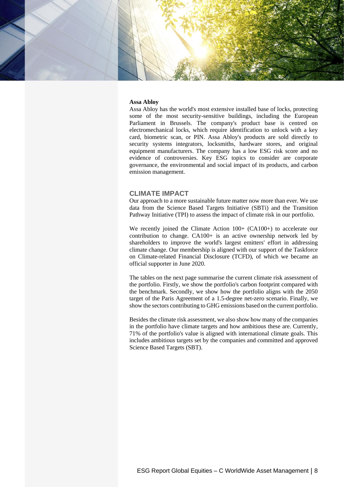

#### **Assa Abloy**

Assa Abloy has the world's most extensive installed base of locks, protecting some of the most security-sensitive buildings, including the European Parliament in Brussels. The company's product base is centred on electromechanical locks, which require identification to unlock with a key card, biometric scan, or PIN. Assa Abloy's products are sold directly to security systems integrators, locksmiths, hardware stores, and original equipment manufacturers. The company has a low ESG risk score and no evidence of controversies. Key ESG topics to consider are corporate governance, the environmental and social impact of its products, and carbon emission management.

## **CLIMATE IMPACT**

Our approach to a more sustainable future matter now more than ever. We use data from the Science Based Targets Initiative (SBTi) and the Transition Pathway Initiative (TPI) to assess the impact of climate risk in our portfolio.

We recently joined the Climate Action  $100+$  (CA100+) to accelerate our contribution to change. CA100+ is an active ownership network led by shareholders to improve the world's largest emitters' effort in addressing climate change. Our membership is aligned with our support of the Taskforce on Climate-related Financial Disclosure (TCFD), of which we became an official supporter in June 2020.

The tables on the next page summarise the current climate risk assessment of the portfolio. Firstly, we show the portfolio's carbon footprint compared with the benchmark. Secondly, we show how the portfolio aligns with the 2050 target of the Paris Agreement of a 1.5-degree net-zero scenario. Finally, we show the sectors contributing to GHG emissions based on the current portfolio.

Besides the climate risk assessment, we also show how many of the companies in the portfolio have climate targets and how ambitious these are. Currently, 71% of the portfolio's value is aligned with international climate goals. This includes ambitious targets set by the companies and committed and approved Science Based Targets (SBT).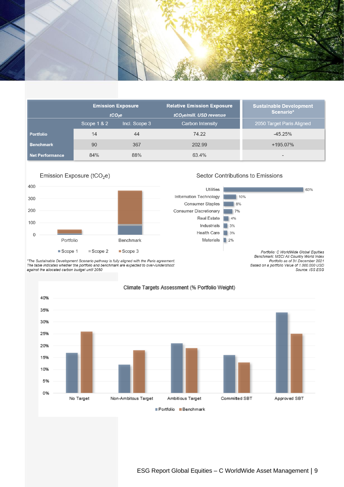

|                  | <b>Emission Exposure</b><br>tCO <sub>2</sub> e |               | <b>Relative Emission Exposure</b>    | <b>Sustainable Development</b><br>Scenario* |  |  |
|------------------|------------------------------------------------|---------------|--------------------------------------|---------------------------------------------|--|--|
|                  |                                                |               | tCO <sub>2</sub> e/mill. USD revenue |                                             |  |  |
|                  | Scope 1 & 2                                    | Incl. Scope 3 | Carbon Intensity                     | 2050 Target Paris Aligned                   |  |  |
| <b>Portfolio</b> | 14                                             | 44            | 74.22                                | $-45.25%$                                   |  |  |
| <b>Benchmark</b> | 90                                             | 367           | 202.99                               | +195.07%                                    |  |  |
| Net Performance  | 84%                                            | 88%           | 63.4%                                | $\overline{\phantom{a}}$                    |  |  |



## Sector Contributions to Emissions

Portfolio: C WorldWide Global Equities Benchmark: MSCI All Country World Index Portfolio as of 31 December 2021<br>Based on a portfolio Value of 1.000.000 USD Source: ISS ESG

63%

\*The Sustainable Development Scenario pathway is fully aligned with the Paris agreement.<br>The table indicates whether the portfolio and benchmark are expected to over-/undershoot against the allocated carbon budget until 2050

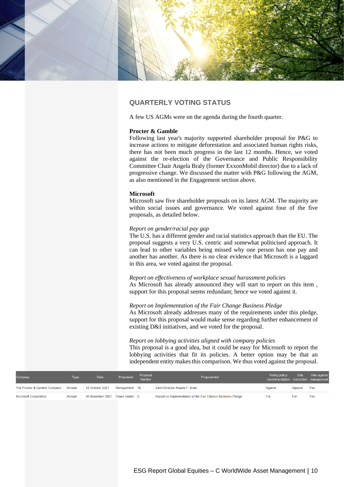

# **QUARTERLY VOTING STATUS**

A few US AGMs were on the agenda during the fourth quarter.

#### **Procter & Gamble**

Following last year's majority supported shareholder proposal for P&G to increase actions to mitigate deforestation and associated human rights risks, there has not been much progress in the last 12 months. Hence, we voted against the re-election of the Governance and Public Responsibility Committee Chair Angela Braly (former ExxonMobil director) due to a lack of progressive change. We discussed the matter with P&G following the AGM, as also mentioned in the Engagement section above.

#### **Microsoft**

Microsoft saw five shareholder proposals on its latest AGM. The majority are within social issues and governance. We voted against four of the five proposals, as detailed below.

#### *Report on gender/racial pay gap*

The U.S. has a different gender and racial statistics approach than the EU. The proposal suggests a very U.S. centric and somewhat politicised approach. It can lead to other variables being missed why one person has one pay and another has another. As there is no clear evidence that Microsoft is a laggard in this area, we voted against the proposal.

*Report on effectiveness of workplace sexual harassment policies* As Microsoft has already announced they will start to report on this item , support for this proposal seems redundant; hence we voted against it.

#### *Report on Implementation of the Fair Change Business Pledge*

As Microsoft already addresses many of the requirements under this pledge, support for this proposal would make sense regarding further enhancement of existing D&I initiatives, and we voted for the proposal.

## *Report on lobbying activities aligned with company policies*

This proposal is a good idea, but it could be easy for Microsoft to report the lobbying activities that fit its policies. A better option may be that an independent entity makes this comparison. We thus voted against the proposal.

| Company                      | Type   | <b>Date</b>      | Proponent      | Proposal<br>Number | Proposal text                                               | Voting policy<br>recommendation instruction management | Vote    | Vote against |
|------------------------------|--------|------------------|----------------|--------------------|-------------------------------------------------------------|--------------------------------------------------------|---------|--------------|
| The Procter & Gamble Company | Annual | 12 October 2021  | Management 1b  |                    | Elect Director Angela F. Braly                              | Against                                                | Against | Yes          |
| <b>Microsoft Corporation</b> | Annual | 30 November 2021 | Share Holder 8 |                    | Report on Implementation of the Fair Chance Business Pledge | For                                                    | For     | Yes          |